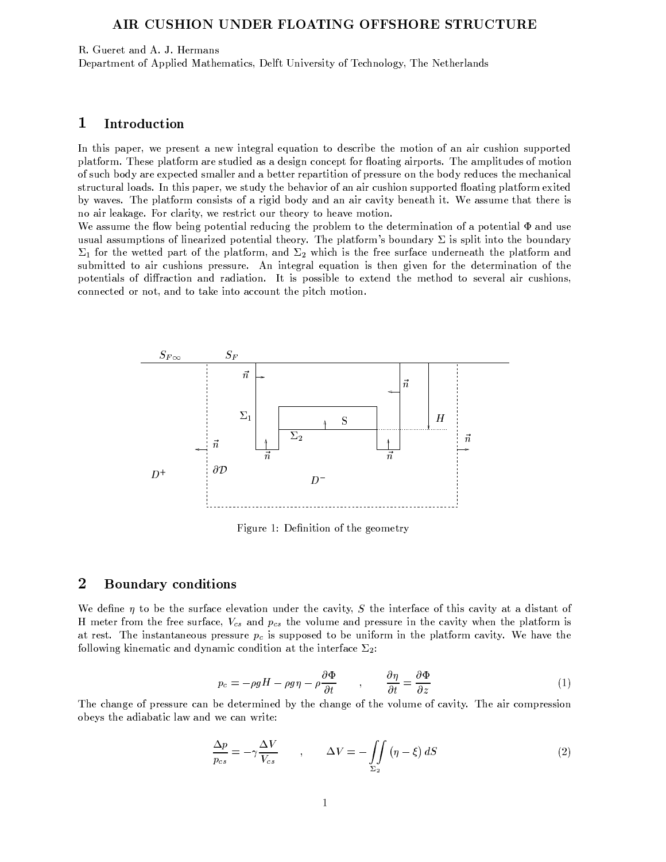## AIR CUSHION UNDER FLOATING OFFSHORE STRUCTURE

R. Gueret and A. J. Hermans

Department of Applied Mathematics, Delft University of Technology, The Netherlands

#### $\mathbf 1$ **Introduction**

In this paper, we present a new integral equation to describe the motion of an air cushion supported platform. These platform are studied as a design concept for floating airports. The amplitudes of motion of such body are expected smaller and a better repartition of pressure on the body reduces the mechanical structural loads. In this paper, we study the behavior of an air cushion supported floating platform exited by waves. The platform consists of a rigid body and an air cavity beneath it. We assume that there is no air leakage. For clarity, we restrict our theory to heave motion.

We assume the flow being potential reducing the problem to the determination of a potential  $\Phi$  and use usual assumptions of linearized potential theory. The platform's boundary  $\Sigma$  is split into the boundary  $\Sigma_1$  for the wetted part of the platform, and  $\Sigma_2$  which is the free surface underneath the platform and submitted to air cushions pressure. An integral equation is then given for the determination of the potentials of diffraction and radiation. It is possible to extend the method to several air cushions, connected or not, and to take into account the pitch motion.



Figure 1: Definition of the geometry

### $\overline{2}$ **Boundary conditions**

We define  $\eta$  to be the surface elevation under the cavity, S the interface of this cavity at a distant of H meter from the free surface,  $V_{cs}$  and  $p_{cs}$  the volume and pressure in the cavity when the platform is at rest. The instantaneous pressure  $p_c$  is supposed to be uniform in the platform cavity. We have the following kinematic and dynamic condition at the interface  $\Sigma_2$ :

$$
p_c = -\rho g H - \rho g \eta - \rho \frac{\partial \Phi}{\partial t} \qquad , \qquad \frac{\partial \eta}{\partial t} = \frac{\partial \Phi}{\partial z} \tag{1}
$$

The change of pressure can be determined by the change of the volume of cavity. The air compression obeys the adiabatic law and we can write:

$$
\frac{\Delta p}{p_{cs}} = -\gamma \frac{\Delta V}{V_{cs}} \qquad , \qquad \Delta V = -\iint\limits_{\Sigma_2} \left( \eta - \xi \right) dS \tag{2}
$$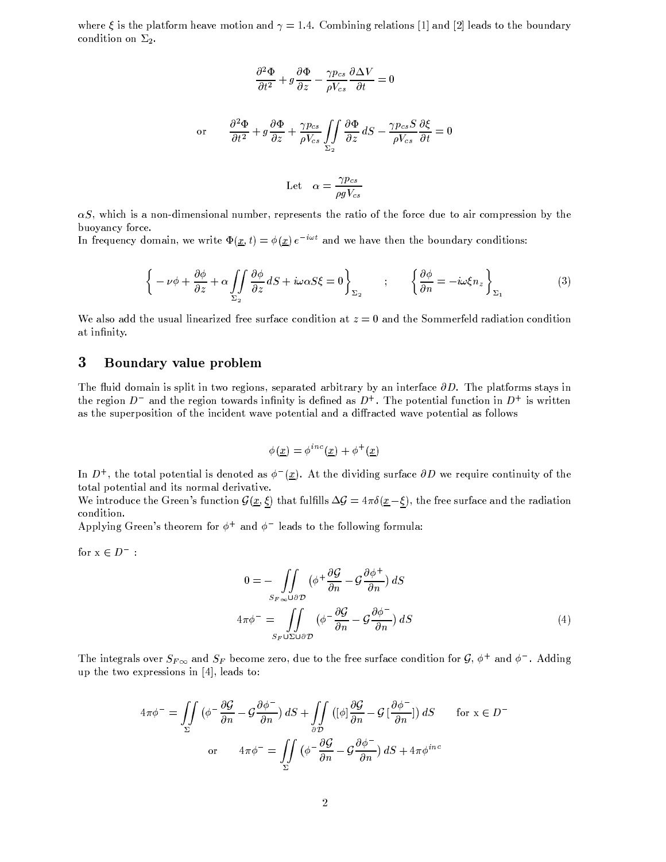where  $\xi$  is the platform heave motion and  $\gamma = 1.4$ . Combining relations [1] and [2] leads to the boundary condition on  $\Sigma_2$ .

$$
\frac{\partial^2 \Phi}{\partial t^2} + g \frac{\partial \Phi}{\partial z} - \frac{\gamma p_{cs}}{\rho V_{cs}} \frac{\partial \Delta V}{\partial t} = 0
$$

or 
$$
\frac{\partial^2 \Phi}{\partial t^2} + g \frac{\partial \Phi}{\partial z} + \frac{\gamma p_{cs}}{\rho V_{cs}} \iint_{\Sigma_2} \frac{\partial \Phi}{\partial z} dS - \frac{\gamma p_{cs} S}{\rho V_{cs}} \frac{\partial \xi}{\partial t} = 0
$$

Let 
$$
\alpha = \frac{\gamma p_{cs}}{\rho g V_{cs}}
$$

 $\alpha S$ , which is a non-dimensional number, represents the ratio of the force due to air compression by the buoyancy force.

In frequency domain, we write  $\Phi(\underline{x},t) = \phi(\underline{x}) e^{-i\omega t}$  and we have then the boundary conditions:

$$
\left\{-\nu\phi + \frac{\partial\phi}{\partial z} + \alpha \iint\limits_{\Sigma_2} \frac{\partial\phi}{\partial z} dS + i\omega\alpha S\xi = 0\right\}_{\Sigma_2} \qquad ; \qquad \left\{\frac{\partial\phi}{\partial n} = -i\omega\xi n_z\right\}_{\Sigma_1} \tag{3}
$$

We also add the usual linearized free surface condition at  $z = 0$  and the Sommerfeld radiation condition at infinity.

#### 3 Boundary value problem

The fluid domain is split in two regions, separated arbitrary by an interface  $\partial D$ . The platforms stays in the region  $D^-$  and the region towards infinity is defined as  $D^+$ . The potential function in  $D^+$  is written as the superposition of the incident wave potential and a diffracted wave potential as follows

$$
\phi(\underline{x}) = \phi^{inc}(\underline{x}) + \phi^{+}(\underline{x})
$$

In  $D^+$ , the total potential is denoted as  $\phi^{-}(x)$ . At the dividing surface  $\partial D$  we require continuity of the total potential and its normal derivative.

We introduce the Green's function  $\mathcal{G}(\underline{x},\xi)$  that fulfills  $\Delta \mathcal{G} = 4\pi \delta(\underline{x}-\xi)$ , the free surface and the radiation condition.

Applying Green's theorem for  $\phi^+$  and  $\phi^-$  leads to the following formula:

for  $\mathbf{x}\in D^-$  :

$$
0 = -\int_{S_{F\infty}\cup\partial\mathcal{D}} \left(\phi^{+} \frac{\partial \mathcal{G}}{\partial n} - \mathcal{G} \frac{\partial \phi^{+}}{\partial n}\right) dS
$$
  

$$
4\pi \phi^{-} = \int_{S_{F}\cup\Sigma\cup\partial\mathcal{D}} \left(\phi^{-} \frac{\partial \mathcal{G}}{\partial n} - \mathcal{G} \frac{\partial \phi^{-}}{\partial n}\right) dS
$$
 (4)

The integrals over  $S_{F\infty}$  and  $S_F$  become zero, due to the free surface condition for  $\mathcal{G}, \phi^+$  and  $\phi^-$ . Adding up the two expressions in  $[4]$ , leads to:

$$
4\pi\phi^{-} = \iint_{\Sigma} \left( \phi^{-} \frac{\partial \mathcal{G}}{\partial n} - \mathcal{G} \frac{\partial \phi^{-}}{\partial n} \right) dS + \iint_{\partial \mathcal{D}} \left( [\phi] \frac{\partial \mathcal{G}}{\partial n} - \mathcal{G} \left[ \frac{\partial \phi^{-}}{\partial n} \right] \right) dS \qquad \text{for } x \in D^{-}
$$
  
or 
$$
4\pi\phi^{-} = \iint_{\Sigma} \left( \phi^{-} \frac{\partial \mathcal{G}}{\partial n} - \mathcal{G} \frac{\partial \phi^{-}}{\partial n} \right) dS + 4\pi\phi^{inc}
$$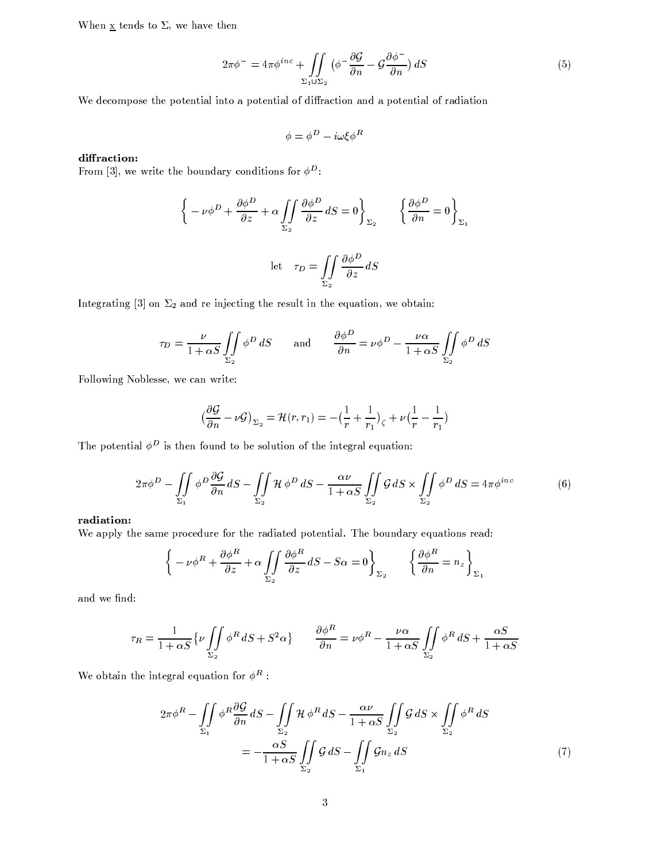When  $\underline{x}$  tends to  $\Sigma$ , we have then

$$
2\pi\phi^{-} = 4\pi\phi^{inc} + \iint\limits_{\Sigma_1 \cup \Sigma_2} \left( \phi^{-} \frac{\partial \mathcal{G}}{\partial n} - \mathcal{G} \frac{\partial \phi^{-}}{\partial n} \right) dS \tag{5}
$$

We decompose the potential into a potential of diffraction and a potential of radiation

$$
\phi = \phi^D - i\omega\xi\phi^R
$$

### diffraction:

From [3], we write the boundary conditions for  $\phi^D$ :

$$
\left\{ -\nu \phi^D + \frac{\partial \phi^D}{\partial z} + \alpha \iint_{\Sigma_2} \frac{\partial \phi^D}{\partial z} dS = 0 \right\}_{\Sigma_2} \qquad \left\{ \frac{\partial \phi^D}{\partial n} = 0 \right\}_{\Sigma_1}
$$
  
let  $\tau_D = \iint_{\Sigma_2} \frac{\partial \phi^D}{\partial z} dS$ 

Integrating [3] on  $\Sigma_2$  and re injecting the result in the equation, we obtain:

$$
\tau_D = \frac{\nu}{1 + \alpha S} \iint\limits_{\Sigma_2} \phi^D \, dS \qquad \text{and} \qquad \frac{\partial \phi^D}{\partial n} = \nu \phi^D - \frac{\nu \alpha}{1 + \alpha S} \iint\limits_{\Sigma_2} \phi^D \, dS
$$

Following Noblesse, we can write:

$$
\left(\frac{\partial \mathcal{G}}{\partial n} - \nu \mathcal{G}\right)_{\Sigma_2} = \mathcal{H}(r, r_1) = -\left(\frac{1}{r} + \frac{1}{r_1}\right)_{\zeta} + \nu\left(\frac{1}{r} - \frac{1}{r_1}\right)
$$

The potential  $\phi^D$  is then found to be solution of the integral equation:

$$
2\pi\phi^D - \iint\limits_{\Sigma_1} \phi^D \frac{\partial \mathcal{G}}{\partial n} dS - \iint\limits_{\Sigma_2} \mathcal{H} \phi^D dS - \frac{\alpha \nu}{1 + \alpha S} \iint\limits_{\Sigma_2} \mathcal{G} dS \times \iint\limits_{\Sigma_2} \phi^D dS = 4\pi\phi^{inc} \tag{6}
$$

### radiation:

We apply the same procedure for the radiated potential. The boundary equations read:

$$
\left\{-\nu\phi^R + \frac{\partial\phi^R}{\partial z} + \alpha \iint\limits_{\Sigma_2} \frac{\partial\phi^R}{\partial z} dS - S\alpha = 0\right\}_{\Sigma_2} \qquad \left\{\frac{\partial\phi^R}{\partial n} = n_z\right\}_{\Sigma_1}
$$

and we find:

$$
\tau_R = \frac{1}{1+\alpha S} \{ \nu \iint\limits_{\Sigma_2} \phi^R \, dS + S^2 \alpha \} \qquad \frac{\partial \phi^R}{\partial n} = \nu \phi^R - \frac{\nu \alpha}{1+\alpha S} \iint\limits_{\Sigma_2} \phi^R \, dS + \frac{\alpha S}{1+\alpha S}
$$

We obtain the integral equation for  $\phi^R$ :

$$
2\pi\phi^R - \iint\limits_{\Sigma_1} \phi^R \frac{\partial \mathcal{G}}{\partial n} dS - \iint\limits_{\Sigma_2} \mathcal{H} \phi^R dS - \frac{\alpha \nu}{1 + \alpha S} \iint\limits_{\Sigma_2} \mathcal{G} dS \times \iint\limits_{\Sigma_2} \phi^R dS
$$

$$
= -\frac{\alpha S}{1 + \alpha S} \iint\limits_{\Sigma_2} \mathcal{G} dS - \iint\limits_{\Sigma_1} \mathcal{G} n_z dS \tag{7}
$$